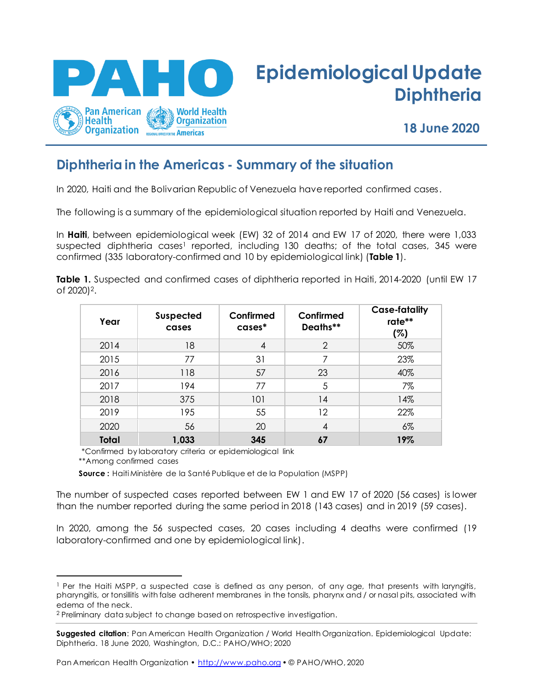

# **Epidemiological Update Diphtheria**

**18 June 2020**

# **Diphtheria in the Americas - Summary of the situation**

In 2020, Haiti and the Bolivarian Republic of Venezuela have reported confirmed cases.

The following is a summary of the epidemiological situation reported by Haiti and Venezuela.

In **Haiti**, between epidemiological week (EW) 32 of 2014 and EW 17 of 2020, there were 1,033 suspected diphtheria cases<sup>1</sup> reported, including 130 deaths; of the total cases, 345 were confirmed (335 laboratory-confirmed and 10 by epidemiological link) (**Table 1**).

**Table 1.** Suspected and confirmed cases of diphtheria reported in Haiti, 2014-2020 (until EW 17 of 2020) 2.

| Year         | <b>Suspected</b><br>cases | Confirmed<br>cases* | Confirmed<br>Deaths** | <b>Case-fatality</b><br>rate**<br>(%) |
|--------------|---------------------------|---------------------|-----------------------|---------------------------------------|
| 2014         | 18                        | 4                   | $\overline{2}$        | 50%                                   |
| 2015         | 77                        | 31                  |                       | 23%                                   |
| 2016         | 118                       | 57                  | 23                    | 40%                                   |
| 2017         | 194                       | 77                  | 5                     | 7%                                    |
| 2018         | 375                       | 101                 | 14                    | 14%                                   |
| 2019         | 195                       | 55                  | $12 \,$               | 22%                                   |
| 2020         | 56                        | 20                  | 4                     | $6\%$                                 |
| <b>Total</b> | 1,033                     | 345                 | 67                    | 19%                                   |

\*Confirmed by laboratory criteria or epidemiological link

\*\*Among confirmed cases

 **Source :** Haiti Ministère de la Santé Publique et de la Population (MSPP)

The number of suspected cases reported between EW 1 and EW 17 of 2020 (56 cases) is lower than the number reported during the same period in 2018 (143 cases) and in 2019 (59 cases).

In 2020, among the 56 suspected cases, 20 cases including 4 deaths were confirmed (19 laboratory-confirmed and one by epidemiological link).

Pan American Health Organization • http://www.paho.org • © PAHO/WHO, 2020

<sup>1</sup> Per the Haiti MSPP, a suspected case is defined as any person, of any age, that presents with laryngitis, pharyngitis, or tonsillitis with false adherent membranes in the tonsils, pharynx and / or nasal pits, associated with edema of the neck.

<sup>2</sup> Preliminary data subject to change based on retrospective investigation.

**Suggested citation**: Pan American Health Organization / World Health Organization. Epidemiological Update: Diphtheria. 18 June 2020, Washington, D.C.: PAHO/WHO; 2020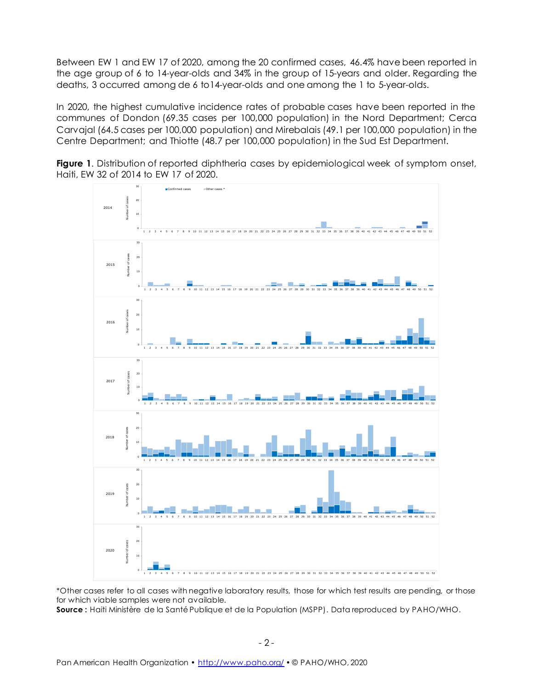Between EW 1 and EW 17 of 2020, among the 20 confirmed cases, 46.4% have been reported in the age group of 6 to 14-year-olds and 34% in the group of 15-years and older. Regarding the deaths, 3 occurred among de 6 to14-year-olds and one among the 1 to 5-year-olds.

In 2020, the highest cumulative incidence rates of probable cases have been reported in the communes of Dondon (69.35 cases per 100,000 population) in the Nord Department; Cerca Carvajal (64.5 cases per 100,000 population) and Mirebalais (49.1 per 100,000 population) in the Centre Department; and Thiotte (48.7 per 100,000 population) in the Sud Est Department.





\*Other cases refer to all cases with negative laboratory results, those for which test results are pending, or those for which viable samples were not available.

**Source :** Haiti Ministère de la Santé Publique et de la Population (MSPP). Data reproduced by PAHO/WHO.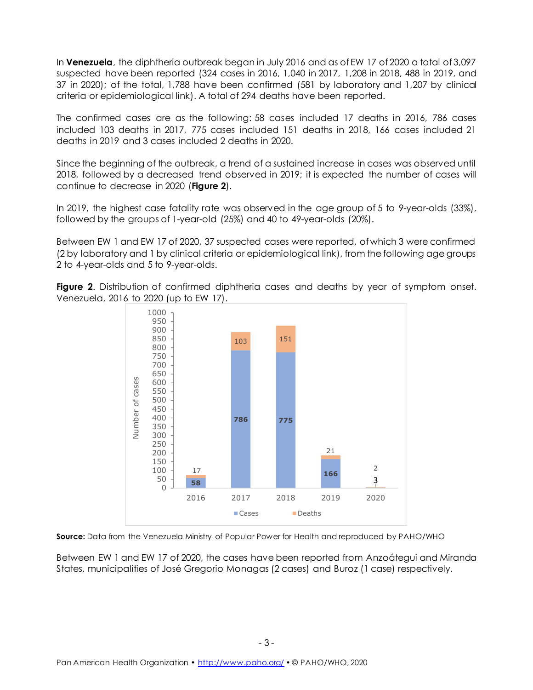In **Venezuela**, the diphtheria outbreak began in July 2016 and as of EW 17 of 2020 a total of 3,097 suspected have been reported (324 cases in 2016, 1,040 in 2017, 1,208 in 2018, 488 in 2019, and 37 in 2020); of the total, 1,788 have been confirmed (581 by laboratory and 1,207 by clinical criteria or epidemiological link). A total of 294 deaths have been reported.

The confirmed cases are as the following: 58 cases included 17 deaths in 2016, 786 cases included 103 deaths in 2017, 775 cases included 151 deaths in 2018, 166 cases included 21 deaths in 2019 and 3 cases included 2 deaths in 2020.

Since the beginning of the outbreak, a trend of a sustained increase in cases was observed until 2018, followed by a decreased trend observed in 2019; it is expected the number of cases will continue to decrease in 2020 (**Figure 2**).

In 2019, the highest case fatality rate was observed in the age group of 5 to 9-year-olds (33%), followed by the groups of 1-year-old (25%) and 40 to 49-year-olds (20%).

Between EW 1 and EW 17 of 2020, 37 suspected cases were reported, of which 3 were confirmed (2 by laboratory and 1 by clinical criteria or epidemiological link), from the following age groups 2 to 4-year-olds and 5 to 9-year-olds.





**Source:** Data from the Venezuela Ministry of Popular Power for Health and reproduced by PAHO/WHO

Between EW 1 and EW 17 of 2020, the cases have been reported from Anzoátegui and Miranda States, municipalities of José Gregorio Monagas (2 cases) and Buroz (1 case) respectively.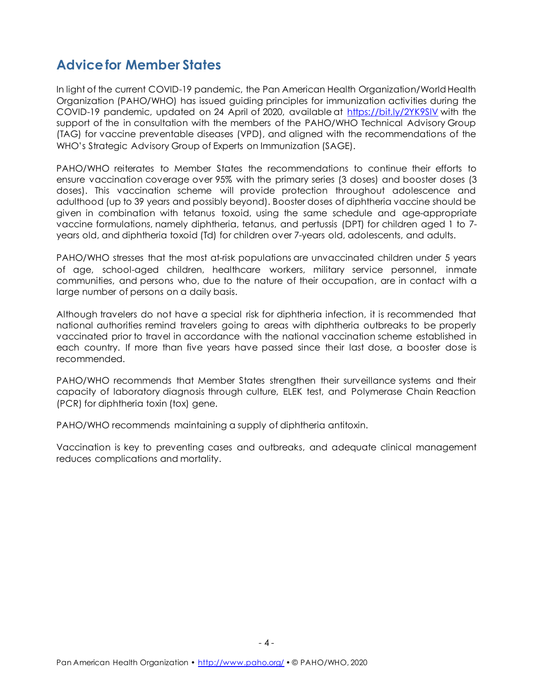### **Advice for Member States**

In light of the current COVID-19 pandemic, the Pan American Health Organization/World Health Organization (PAHO/WHO) has issued guiding principles for immunization activities during the COVID-19 pandemic, updated on 24 April of 2020, available at<https://bit.ly/2YK9SlV> with the support of the in consultation with the members of the PAHO/WHO Technical Advisory Group (TAG) for vaccine preventable diseases (VPD), and aligned with the recommendations of the WHO's Strategic Advisory Group of Experts on Immunization (SAGE).

PAHO/WHO reiterates to Member States the recommendations to continue their efforts to ensure vaccination coverage over 95% with the primary series (3 doses) and booster doses (3 doses). This vaccination scheme will provide protection throughout adolescence and adulthood (up to 39 years and possibly beyond). Booster doses of diphtheria vaccine should be given in combination with tetanus toxoid, using the same schedule and age-appropriate vaccine formulations, namely diphtheria, tetanus, and pertussis (DPT) for children aged 1 to 7 years old, and diphtheria toxoid (Td) for children over 7-years old, adolescents, and adults.

PAHO/WHO stresses that the most at-risk populations are unvaccinated children under 5 years of age, school-aged children, healthcare workers, military service personnel, inmate communities, and persons who, due to the nature of their occupation, are in contact with a large number of persons on a daily basis.

Although travelers do not have a special risk for diphtheria infection, it is recommended that national authorities remind travelers going to areas with diphtheria outbreaks to be properly vaccinated prior to travel in accordance with the national vaccination scheme established in each country. If more than five years have passed since their last dose, a booster dose is recommended.

PAHO/WHO recommends that Member States strengthen their surveillance systems and their capacity of laboratory diagnosis through culture, ELEK test, and Polymerase Chain Reaction (PCR) for diphtheria toxin (tox) gene.

PAHO/WHO recommends maintaining a supply of diphtheria antitoxin.

Vaccination is key to preventing cases and outbreaks, and adequate clinical management reduces complications and mortality.